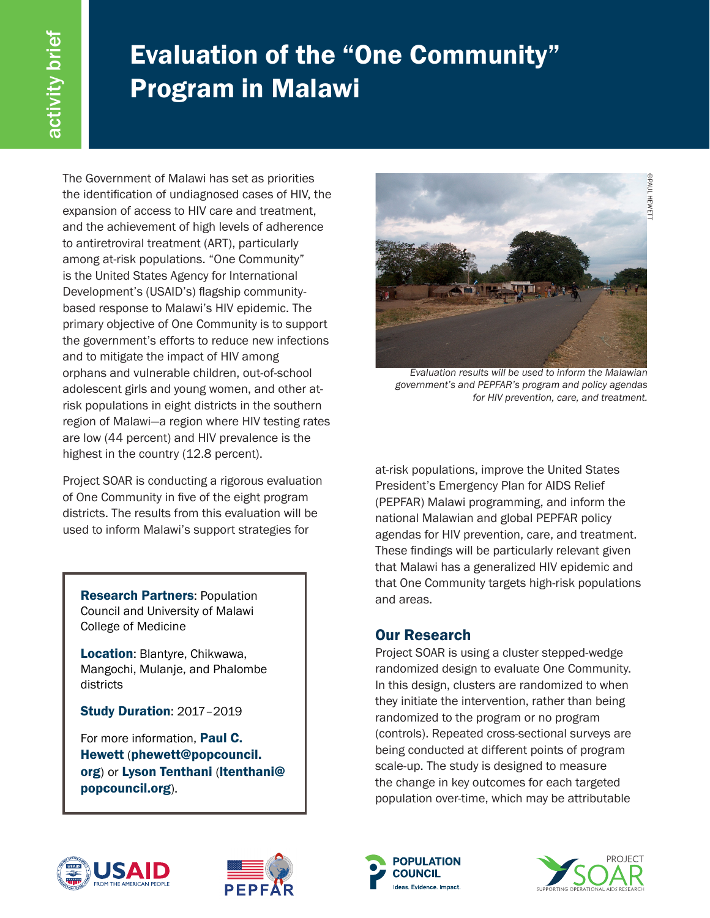## Evaluation of the "One Community" Program in Malawi

The Government of Malawi has set as priorities the identification of undiagnosed cases of HIV, the expansion of access to HIV care and treatment, and the achievement of high levels of adherence to antiretroviral treatment (ART), particularly among at-risk populations. "One Community" is the United States Agency for International Development's (USAID's) flagship communitybased response to Malawi's HIV epidemic. The primary objective of One Community is to support the government's efforts to reduce new infections and to mitigate the impact of HIV among orphans and vulnerable children, out-of-school adolescent girls and young women, and other atrisk populations in eight districts in the southern region of Malawi—a region where HIV testing rates are low (44 percent) and HIV prevalence is the highest in the country (12.8 percent).

Project SOAR is conducting a rigorous evaluation of One Community in five of the eight program districts. The results from this evaluation will be used to inform Malawi's support strategies for

Research Partners: Population Council and University of Malawi College of Medicine

Location: Blantyre, Chikwawa, Mangochi, Mulanje, and Phalombe districts

Study Duration: 2017–2019

For more information, **Paul C.** Hewett (phewett@popcouncil. org) or Lyson Tenthani (ltenthani@ popcouncil.org).



*Evaluation results will be used to inform the Malawian government's and PEPFAR's program and policy agendas for HIV prevention, care, and treatment.* 

at-risk populations, improve the United States President's Emergency Plan for AIDS Relief (PEPFAR) Malawi programming, and inform the national Malawian and global PEPFAR policy agendas for HIV prevention, care, and treatment. These findings will be particularly relevant given that Malawi has a generalized HIV epidemic and that One Community targets high-risk populations and areas.

## Our Research

Project SOAR is using a cluster stepped-wedge randomized design to evaluate One Community. In this design, clusters are randomized to when they initiate the intervention, rather than being randomized to the program or no program (controls). Repeated cross-sectional surveys are being conducted at different points of program scale-up. The study is designed to measure the change in key outcomes for each targeted population over-time, which may be attributable